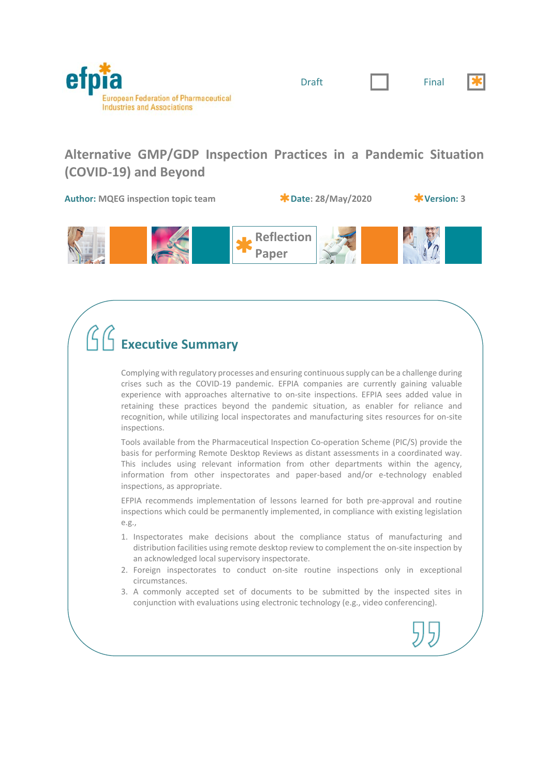



# **Alternative GMP/GDP Inspection Practices in a Pandemic Situation (COVID‐19) and Beyond**

**Author: MQEG inspection topic team Date: 28/May/2020 Version: 3**



# **Executive Summary**

Complying with regulatory processes and ensuring continuous supply can be a challenge during crises such as the COVID‐19 pandemic. EFPIA companies are currently gaining valuable experience with approaches alternative to on-site inspections. EFPIA sees added value in retaining these practices beyond the pandemic situation, as enabler for reliance and recognition, while utilizing local inspectorates and manufacturing sites resources for on‐site inspections.

Tools available from the Pharmaceutical Inspection Co-operation Scheme (PIC/S) provide the basis for performing Remote Desktop Reviews as distant assessments in a coordinated way. This includes using relevant information from other departments within the agency, information from other inspectorates and paper-based and/or e-technology enabled inspections, as appropriate.

EFPIA recommends implementation of lessons learned for both pre-approval and routine inspections which could be permanently implemented, in compliance with existing legislation e.g.,

- 1. Inspectorates make decisions about the compliance status of manufacturing and distribution facilities using remote desktop review to complement the on‐site inspection by an acknowledged local supervisory inspectorate.
- 2. Foreign inspectorates to conduct on-site routine inspections only in exceptional circumstances.
- 3. A commonly accepted set of documents to be submitted by the inspected sites in conjunction with evaluations using electronic technology (e.g., video conferencing).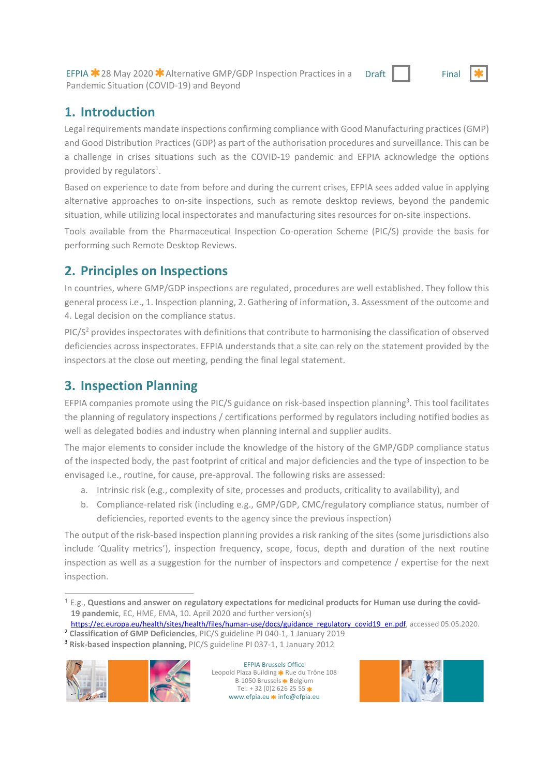EFPIA <sup>2</sup> 28 May 2020 <sup>2</sup> Alternative GMP/GDP Inspection Practices in a Pandemic Situation (COVID‐19) and Beyond Draft | Final

# **1. Introduction**

Legal requirements mandate inspections confirming compliance with Good Manufacturing practices (GMP) and Good Distribution Practices (GDP) as part of the authorisation procedures and surveillance. This can be a challenge in crises situations such as the COVID‐19 pandemic and EFPIA acknowledge the options provided by regulators<sup>1</sup>.

Based on experience to date from before and during the current crises, EFPIA sees added value in applying alternative approaches to on‐site inspections, such as remote desktop reviews, beyond the pandemic situation, while utilizing local inspectorates and manufacturing sites resources for on‐site inspections.

Tools available from the Pharmaceutical Inspection Co-operation Scheme (PIC/S) provide the basis for performing such Remote Desktop Reviews.

# **2. Principles on Inspections**

In countries, where GMP/GDP inspections are regulated, procedures are well established. They follow this general process i.e., 1. Inspection planning, 2. Gathering of information, 3. Assessment of the outcome and 4. Legal decision on the compliance status.

PIC/S<sup>2</sup> provides inspectorates with definitions that contribute to harmonising the classification of observed deficiencies across inspectorates. EFPIA understands that a site can rely on the statement provided by the inspectors at the close out meeting, pending the final legal statement.

# **3. Inspection Planning**

EFPIA companies promote using the PIC/S guidance on risk-based inspection planning<sup>3</sup>. This tool facilitates the planning of regulatory inspections / certifications performed by regulators including notified bodies as well as delegated bodies and industry when planning internal and supplier audits.

The major elements to consider include the knowledge of the history of the GMP/GDP compliance status of the inspected body, the past footprint of critical and major deficiencies and the type of inspection to be envisaged i.e., routine, for cause, pre-approval. The following risks are assessed:

- a. Intrinsic risk (e.g., complexity of site, processes and products, criticality to availability), and
- b. Compliance‐related risk (including e.g., GMP/GDP, CMC/regulatory compliance status, number of deficiencies, reported events to the agency since the previous inspection)

The output of the risk‐based inspection planning provides a risk ranking of the sites (some jurisdictions also include 'Quality metrics'), inspection frequency, scope, focus, depth and duration of the next routine inspection as well as a suggestion for the number of inspectors and competence / expertise for the next inspection.

https://ec.europa.eu/health/sites/health/files/human-use/docs/guidance\_regulatory\_covid19\_en.pdf, accessed 05.05.2020.

<sup>2</sup> **Classification of GMP Deficiencies**, PIC/S guideline PI 040‐1, 1 January 2019 <sup>3</sup> **Risk‐based inspection planning**, PIC/S guideline PI 037‐1, 1 January 2012



 $\overline{a}$ 

EFPIA Brussels Office Leopold Plaza Building \* Rue du Trône 108 B-1050 Brussels <sup>\*</sup> Belgium Tel:  $+32(0)26262555$ www.efpia.eu \* info@efpia.eu



<sup>1</sup> E.g., **Questions and answer on regulatory expectations for medicinal products for Human use during the covid‐ 19 pandemic**, EC, HME, EMA, 10. April 2020 and further version(s)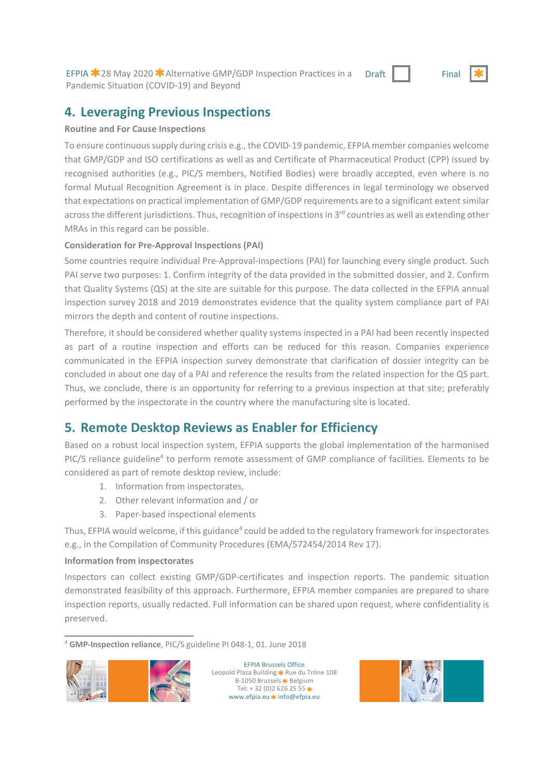EFPIA  $\star$  28 May 2020  $\star$  Alternative GMP/GDP Inspection Practices in a Pandemic Situation (COVID‐19) and Beyond

#### Draft Final

## **4. Leveraging Previous Inspections**

#### **Routine and For Cause Inspections**

To ensure continuous supply during crisis e.g., the COVID‐19 pandemic, EFPIA member companies welcome that GMP/GDP and ISO certifications as well as and Certificate of Pharmaceutical Product (CPP) issued by recognised authorities (e.g., PIC/S members, Notified Bodies) were broadly accepted, even where is no formal Mutual Recognition Agreement is in place. Despite differences in legal terminology we observed that expectations on practical implementation of GMP/GDP requirements are to a significant extent similar across the different jurisdictions. Thus, recognition of inspections in 3<sup>rd</sup> countries as well as extending other MRAs in this regard can be possible.

### **Consideration for Pre‐Approval Inspections (PAI)**

Some countries require individual Pre-Approval-Inspections (PAI) for launching every single product. Such PAI serve two purposes: 1. Confirm integrity of the data provided in the submitted dossier, and 2. Confirm that Quality Systems (QS) at the site are suitable for this purpose. The data collected in the EFPIA annual inspection survey 2018 and 2019 demonstrates evidence that the quality system compliance part of PAI mirrors the depth and content of routine inspections.

Therefore, it should be considered whether quality systems inspected in a PAI had been recently inspected as part of a routine inspection and efforts can be reduced for this reason. Companies experience communicated in the EFPIA inspection survey demonstrate that clarification of dossier integrity can be concluded in about one day of a PAI and reference the results from the related inspection for the QS part. Thus, we conclude, there is an opportunity for referring to a previous inspection at that site; preferably performed by the inspectorate in the country where the manufacturing site is located.

# **5. Remote Desktop Reviews as Enabler for Efficiency**

Based on a robust local inspection system, EFPIA supports the global implementation of the harmonised PIC/S reliance guideline<sup>4</sup> to perform remote assessment of GMP compliance of facilities. Elements to be considered as part of remote desktop review, include:

- 1. Information from inspectorates,
- 2. Other relevant information and / or
- 3. Paper‐based inspectional elements

Thus, EFPIA would welcome, if this guidance<sup>4</sup> could be added to the regulatory framework for inspectorates e.g., in the Compilation of Community Procedures (EMA/572454/2014 Rev 17).

### **Information from inspectorates**

Inspectors can collect existing GMP/GDP‐certificates and inspection reports. The pandemic situation demonstrated feasibility of this approach. Furthermore, EFPIA member companies are prepared to share inspection reports, usually redacted. Full information can be shared upon request, where confidentiality is preserved.

1 <sup>4</sup> **GMP‐Inspection reliance**, PIC/S guideline PI 048‐1, 01. June 2018



EFPIA Brussels Office Leopold Plaza Building \* Rue du Trône 108 B-1050 Brussels <sup>\*</sup> Belgium Tel:  $+32(0)26262555$ \* www.efpia.eu \* info@efpia.eu

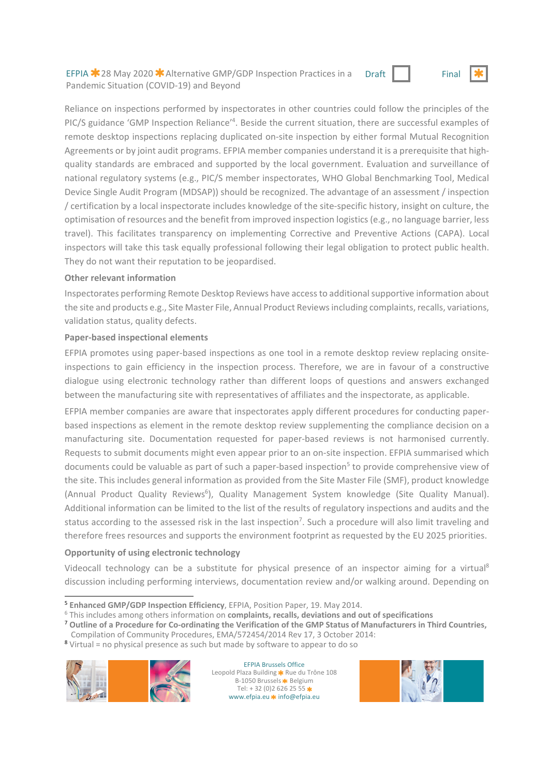EFPIA  $\star$  28 May 2020  $\star$  Alternative GMP/GDP Inspection Practices in a Pandemic Situation (COVID‐19) and Beyond



Reliance on inspections performed by inspectorates in other countries could follow the principles of the PIC/S guidance 'GMP Inspection Reliance'<sup>4</sup>. Beside the current situation, there are successful examples of remote desktop inspections replacing duplicated on‐site inspection by either formal Mutual Recognition Agreements or by joint audit programs. EFPIA member companies understand it is a prerequisite that highquality standards are embraced and supported by the local government. Evaluation and surveillance of national regulatory systems (e.g., PIC/S member inspectorates, WHO Global Benchmarking Tool, Medical Device Single Audit Program (MDSAP)) should be recognized. The advantage of an assessment / inspection / certification by a local inspectorate includes knowledge of the site‐specific history, insight on culture, the optimisation of resources and the benefit from improved inspection logistics (e.g., no language barrier, less travel). This facilitates transparency on implementing Corrective and Preventive Actions (CAPA). Local inspectors will take this task equally professional following their legal obligation to protect public health. They do not want their reputation to be jeopardised.

#### **Other relevant information**

Inspectorates performing Remote Desktop Reviews have access to additional supportive information about the site and products e.g., Site Master File, Annual Product Reviews including complaints, recalls, variations, validation status, quality defects.

#### **Paper‐based inspectional elements**

EFPIA promotes using paper-based inspections as one tool in a remote desktop review replacing onsiteinspections to gain efficiency in the inspection process. Therefore, we are in favour of a constructive dialogue using electronic technology rather than different loops of questions and answers exchanged between the manufacturing site with representatives of affiliates and the inspectorate, as applicable.

EFPIA member companies are aware that inspectorates apply different procedures for conducting paper‐ based inspections as element in the remote desktop review supplementing the compliance decision on a manufacturing site. Documentation requested for paper-based reviews is not harmonised currently. Requests to submit documents might even appear prior to an on‐site inspection. EFPIA summarised which documents could be valuable as part of such a paper-based inspection<sup>5</sup> to provide comprehensive view of the site. This includes general information as provided from the Site Master File (SMF), product knowledge (Annual Product Quality Reviews<sup>6</sup>), Quality Management System knowledge (Site Quality Manual). Additional information can be limited to the list of the results of regulatory inspections and audits and the status according to the assessed risk in the last inspection<sup>7</sup>. Such a procedure will also limit traveling and therefore frees resources and supports the environment footprint as requested by the EU 2025 priorities.

#### **Opportunity of using electronic technology**

Videocall technology can be a substitute for physical presence of an inspector aiming for a virtual<sup>8</sup> discussion including performing interviews, documentation review and/or walking around. Depending on

- 6 This includes among others information on **complaints, recalls, deviations and out of specifications**
- <sup>7</sup> **Outline of a Procedure for Co‐ordinating the Verification of the GMP Status of Manufacturers in Third Countries,**  Compilation of Community Procedures, EMA/572454/2014 Rev 17, 3 October 2014:
- <sup>8</sup> Virtual = no physical presence as such but made by software to appear to do so



EFPIA Brussels Office Leopold Plaza Building \* Rue du Trône 108 B-1050 Brussels <sup>\*</sup> Belgium Tel:  $+32(0)26262555$ www.efpia.eu \* info@efpia.eu



<sup>1</sup> <sup>5</sup> **Enhanced GMP/GDP Inspection Efficiency**, EFPIA, Position Paper, 19. May 2014.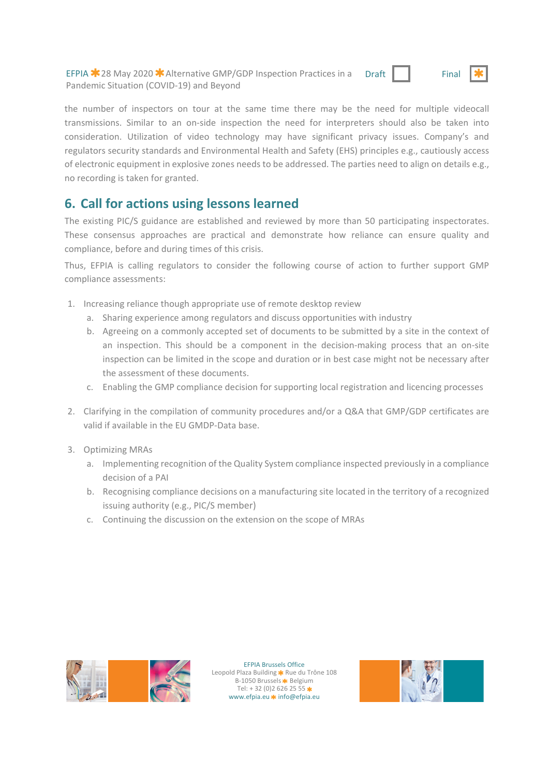EFPIA  $\star$  28 May 2020  $\star$  Alternative GMP/GDP Inspection Practices in a Pandemic Situation (COVID‐19) and Beyond



the number of inspectors on tour at the same time there may be the need for multiple videocall transmissions. Similar to an on-side inspection the need for interpreters should also be taken into consideration. Utilization of video technology may have significant privacy issues. Company's and regulators security standards and Environmental Health and Safety (EHS) principles e.g., cautiously access of electronic equipment in explosive zones needs to be addressed. The parties need to align on details e.g., no recording is taken for granted.

# **6. Call for actions using lessons learned**

The existing PIC/S guidance are established and reviewed by more than 50 participating inspectorates. These consensus approaches are practical and demonstrate how reliance can ensure quality and compliance, before and during times of this crisis.

Thus, EFPIA is calling regulators to consider the following course of action to further support GMP compliance assessments:

- 1. Increasing reliance though appropriate use of remote desktop review
	- a. Sharing experience among regulators and discuss opportunities with industry
	- b. Agreeing on a commonly accepted set of documents to be submitted by a site in the context of an inspection. This should be a component in the decision-making process that an on-site inspection can be limited in the scope and duration or in best case might not be necessary after the assessment of these documents.
	- c. Enabling the GMP compliance decision for supporting local registration and licencing processes
- 2. Clarifying in the compilation of community procedures and/or a Q&A that GMP/GDP certificates are valid if available in the EU GMDP‐Data base.
- 3. Optimizing MRAs
	- a. Implementing recognition of the Quality System compliance inspected previously in a compliance decision of a PAI
	- b. Recognising compliance decisions on a manufacturing site located in the territory of a recognized issuing authority (e.g., PIC/S member)
	- c. Continuing the discussion on the extension on the scope of MRAs



EFPIA Brussels Office Leopold Plaza Building \* Rue du Trône 108 B-1050 Brussels <sup>\*</sup> Belgium Tel:  $+32(0)26262555$ www.efpia.eu \* info@efpia.eu